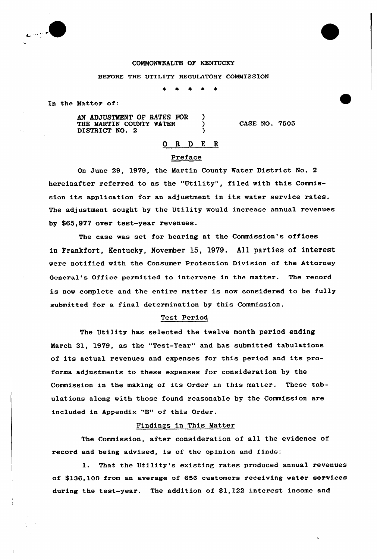

#### COMMONWEALTH OF KENTUCKY

#### BEFORE THE UTILITY REGULATORY COMMISSION

In the Hatter of:

AN ADJUSTMENT OF RATES FOR ) THE MARTIN COUNTY WATER DISTRICT NO. 2

CASE NO. 7505

# 0 <sup>R</sup> <sup>D</sup> E <sup>R</sup> Preface

On June 29, 1979, the Martin County Water District No, <sup>2</sup> hereinafter referred to as the "Utility", filed with this Commission its application for an adjustment in its water service rates. The adjustment sought by the Utility would increase annual revenues by \$65,977 over test-year revenues.

The case was set for hearing at the Commission's offices in Frankfort, Kentucky, November 15, 1979. All parties of interest were notified with the Consumer Protection Division of the Attorney General's Office permitted to intervene in the matter. The record is now complete and the entire matter is now considered to be fully submitted for a final determination by this Commission.

# Test Period

The Utility has selected the twelve month period ending March 31, 1979, as the "Test-Year" and has submitted tabulations of its actual revenues and expenses for this period and its proforma adjustments to these expenses for consideration by the Commission in the making of its Order in this matter. These tabulations along with those found reasonable by the Commission are included in Appendix "8" of this Order.

# Findings in This Matter

The Commission, after consideration of all the evidence of record and being advised, is of the opinion and finds:

1. That the Utility's existing rates produced annual revenues of \$ 136,100 from an average of 656 customers receiving water services during the test-year. The addition of \$1,122 interest income and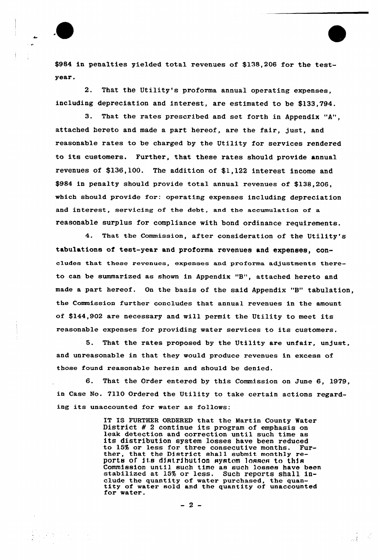

\$984 in penalties yielded total revenues of \$138,206 for the testyear.

2. That the Utility's proforma annual operating expenses, including depreciation and interest, are estimated to be \$133,794.

3. That the rates prescribed and set forth in Appendix "A", attached hereto and made a part hereof, are the fair, just, and reasonable rates to be charged by the Utility for services rendered to its customers. Further, that these rates should provide annual revenues of \$136,100. The addition of \$1,122 interest income and \$984 in penalty should provide total annual revenues of \$138,206, which should provide for: operating expenses including depreciation and interest, servicing of the debt, and the accumulation of a reasonable surplus for compliance with bond ordinance requirements.

4. That the Commission, after consideration of the Utility's tabulations of test-year and proforma revenues and expenses, concludes that these revenues, expenses and proforma adjustments thereto can be summarized as shown in Appendix "B", attached hereto and made <sup>a</sup> part hereof. On the basis of the said Appendix "B" tabulation, the Commission further concludes that annual revenues in the amount of \$144,902 are necessary and will permit the Utility to meet its reasonable expenses for providing water services to its customers.

5. That the rates proposed by the Utility are unfair, unjust, and unreasonable in that they would produce revenues in excess of those found reasonable herein and should be denied.

6. That the Order entered by this Commission on June 6, 1979, in Case No. 7110 Ordered the Utility to take certain actions regarding its unaccounted for water as follows:

> IT IS FURTHER ORDERED that the Martin County Water<br>District # 2 continue its program of emphasis on leak detection and correction until such time as its distribution system losses have been reduced<br>to 15% or less for three consecutive months. Further, that the District shall submit monthly reports of its distribution systom losses to this Commission until such time as such losses have been stabilized at 15% or less. Such reports shall include the quantity of water purchased, the quan-<br>tity of water sold and the quantity of unaccounted<br>for water.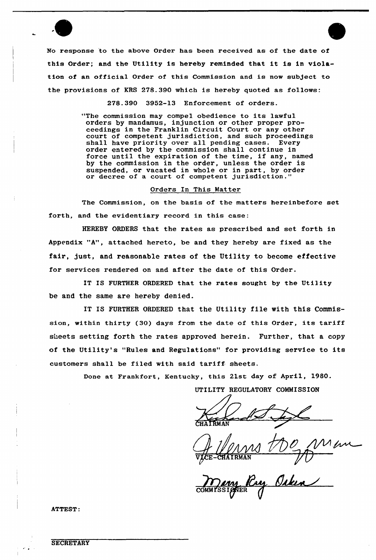No response to the above Order has been received as of the date of this Order; and the Utility is hereby reminded that it is in violation of an official Order of this Commission and is now subject to the provisions of KRS 278.390 which is hereby quoted as follows:

278.390 3952-13 Enforcement of orders.

"The commission may compel obedience to its lawful orders by mandamus, injunction or other proper proceedings in the Franklin Circuit Court or any other court of competent jurisdiction, and such proceedings shall have priority over all pending cases. Every order entered by the commission shall continue in force until the expiration of the time, if any, named by the commission in the order, unless the order is suspended, or vacated in whole or in part, by order suspended, of vacated in whole of in part, by decree of a court of competent jurisdiction.

#### Orders In This Matter

The Commission, on the basis of the matters hereinbefore set forth, and the evidentiary record in this case:

HEREBY ORDERS that the rates as prescribed and set forth in Appendix "A", attached hereto, be and they hereby are fixed as the fair, just, and reasonable rates of the Utility to become effective for services rendered on and after the date of this Order.

IT IS FURTHER ORDERED that the rates sought by the Utility be and the same are hereby denied.

IT IS FURTHER ORDERED that the Utility file with this Commission, within thirty (30) days from the date of this Order, its tariff sheets setting forth the rates approved herein. Further, that a copy of the Utility's "Rules and Regulations" for providing service to its customers shall be filed with said tariff sheets.

Done at Frankfort, Kentucky, this 21st day of April, 1980.

UTILITY REGULATORY COMMISSION

 $\frac{1}{\sqrt{2}}$ <u>if</u><br>Isaatrnan  $R$ MAN  $\overline{V}$ 

many R

ATTEST: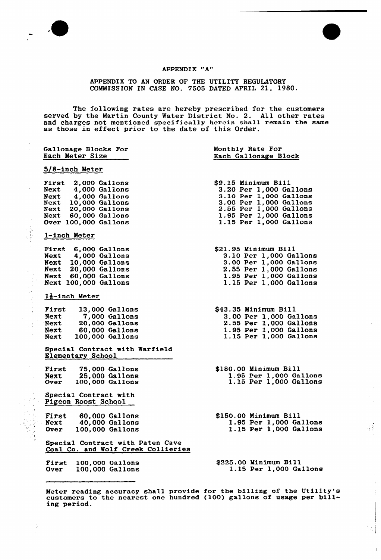

 $\bar{z}$ 

 $\lambda$ 

この後半期の キャンパー アール・プレー

Ĵ.

 $\bar{t}$  $\ddot{\cdot}$ 

Ĵ,

ţ.

### APPENDIX "A"

APPENDIX TO AN ORDER OF THE UTILITY REGULATORY COMMISSION IN CASE NO. 7505 DATED APRIL 21, 1980.

The following rates are hereby prescribed for the customer served by the Martin County Water District No. 2. All other rates and charges not mentioned specifically herein shall remain the same and charges not mentioned specifically herein sharped as those in effect prior to the date of this Order.

| Gallonage Blocks For<br>Each Meter Size                                                                                                                      | Monthly Rate For<br>Each Gallonage Block                                                                                                                                        |  |
|--------------------------------------------------------------------------------------------------------------------------------------------------------------|---------------------------------------------------------------------------------------------------------------------------------------------------------------------------------|--|
| 5/8-inch Meter                                                                                                                                               |                                                                                                                                                                                 |  |
| First 2,000 Gallons<br>Next 4,000 Gallons<br>Next 4,000 Gallons<br>Next 10,000 Gallons<br>Next 20,000 Gallons<br>Next 60,000 Gallons<br>Over 100,000 Gallons | \$9.15 Minimum Bill<br>3.20 Per 1,000 Gallons<br>3.10 Per 1,000 Gallons<br>3.00 Per 1,000 Gallons<br>2.55 Per 1,000 Gallons<br>1.95 Per 1,000 Gallons<br>1.15 Per 1,000 Gallons |  |
| 1-inch Meter                                                                                                                                                 |                                                                                                                                                                                 |  |
| First 6,000 Gallons<br>Next 4,000 Gallons<br>Next 10,000 Gallons<br>Next 20,000 Gallons<br>Next 60,000 Gallons<br>Next 100,000 Gallons                       | \$21.95 Minimum Bill<br>3.10 Per 1,000 Gallons<br>3.00 Per 1,000 Gallons<br>2.55 Per 1,000 Gallons<br>1.95 Per 1,000 Gallons<br>1.15 Per 1,000 Gallons                          |  |
| 1}-inch Meter                                                                                                                                                |                                                                                                                                                                                 |  |
| First<br>13,000 Gallons<br>7,000 Gallons<br>Next<br>Next<br>20,000 Gallons<br>Next 60,000 Gallons<br><b>Next</b><br>100,000 Gallons                          | \$43.35 Minimum Bill<br>3.00 Per 1,000 Gallons<br>2.55 Per 1,000 Gallons<br>1.95 Per 1,000 Gallons<br>1.15 Per 1,000 Gallons                                                    |  |
| Special Contract with Warfield<br>Elementary School                                                                                                          |                                                                                                                                                                                 |  |
| First 75,000 Gallons<br>25,000 Gallons<br>Next<br>Over<br>100,000 Gallons<br>Special Contract with                                                           | \$180.00 Minimum Bill<br>1.95 Per 1,000 Gallons<br>1.15 Per 1,000 Gallons                                                                                                       |  |
| Pigeon Roost School                                                                                                                                          |                                                                                                                                                                                 |  |
| First<br>60,000 Gallons<br>40,000 Gallons<br>Next<br>100,000 Gallons<br><b>Over</b>                                                                          | \$150.00 Minimum Bill<br>1.95 Per 1,000 Gallons<br>1.15 Per 1.000 Gallons                                                                                                       |  |
| Special Contract with Paten Cave<br>Coal Co. and Wolf Creek Collieries                                                                                       |                                                                                                                                                                                 |  |
| First<br>100,000 Gallons<br>100,000 Gallons<br><b>Over</b>                                                                                                   | \$225.00 Minimum Bill<br>1.15 Per 1,000 Gallons                                                                                                                                 |  |

Meter reading accuracy shall provide for the billing of the Utility' Meter reading accuracy shall provide for the billing of the Utility's<br>customers to the nearest one hundred (100) gallons of usage per bill ing period.

 $\frac{3}{4}$ 

 $\bar{\bar{1}}$  $\frac{1}{4}$